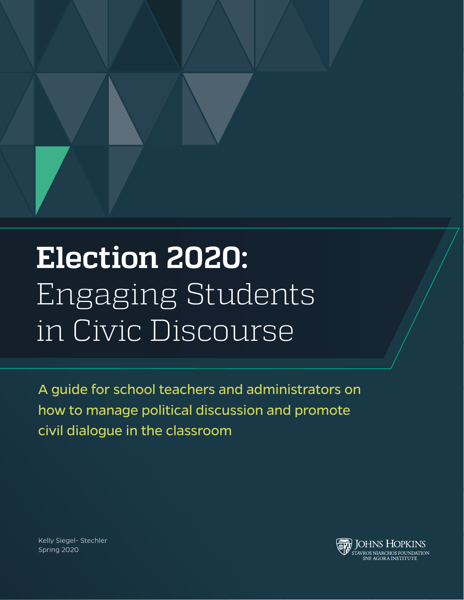

## **Election 2020:** Engaging Students in Civic Discourse

A guide for school teachers and administrators on how to manage political discussion and promote civil dialogue in the classroom

Kelly Siegel- Stechler Spring 2020

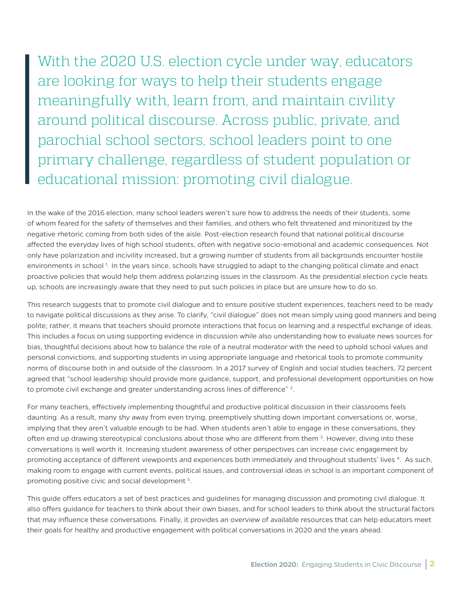# With the 2020 U.S. election cycle under way, educators

are looking for ways to help their students engage meaningfully with, learn from, and maintain civility around political discourse. Across public, private, and parochial school sectors, school leaders point to one primary challenge, regardless of student population or educational mission: promoting civil dialogue.

In the wake of the 2016 election, many school leaders weren't sure how to address the needs of their students, some of whom feared for the safety of themselves and their families, and others who felt threatened and minoritized by the negative rhetoric coming from both sides of the aisle. Post-election research found that national political discourse affected the everyday lives of high school students, often with negative socio-emotional and academic consequences. Not only have polarization and incivility increased, but a growing number of students from all backgrounds encounter hostile environments in school<sup>1</sup>. In the years since, schools have struggled to adapt to the changing political climate and enact proactive policies that would help them address polarizing issues in the classroom. As the presidential election cycle heats up, schools are increasingly aware that they need to put such policies in place but are unsure how to do so.

This research suggests that to promote civil dialogue and to ensure positive student experiences, teachers need to be ready to navigate political discussions as they arise. To clarify, "civil dialogue" does not mean simply using good manners and being polite; rather, it means that teachers should promote interactions that focus on learning and a respectful exchange of ideas. This includes a focus on using supporting evidence in discussion while also understanding how to evaluate news sources for bias, thoughtful decisions about how to balance the role of a neutral moderator with the need to uphold school values and personal convictions, and supporting students in using appropriate language and rhetorical tools to promote community norms of discourse both in and outside of the classroom. In a 2017 survey of English and social studies teachers, 72 percent agreed that "school leadership should provide more guidance, support, and professional development opportunities on how to promote civil exchange and greater understanding across lines of difference"  $2$ .

For many teachers, effectively implementing thoughtful and productive political discussion in their classrooms feels daunting. As a result, many shy away from even trying, preemptively shutting down important conversations or, worse, implying that they aren't valuable enough to be had. When students aren't able to engage in these conversations, they often end up drawing stereotypical conclusions about those who are different from them <sup>3</sup>. However, diving into these conversations is well worth it. Increasing student awareness of other perspectives can increase civic engagement by promoting acceptance of different viewpoints and experiences both immediately and throughout students' lives 4. As such, making room to engage with current events, political issues, and controversial ideas in school is an important component of promoting positive civic and social development<sup>5</sup>.

This guide offers educators a set of best practices and guidelines for managing discussion and promoting civil dialogue. It also offers guidance for teachers to think about their own biases, and for school leaders to think about the structural factors that may influence these conversations. Finally, it provides an overview of available resources that can help educators meet their goals for healthy and productive engagement with political conversations in 2020 and the years ahead.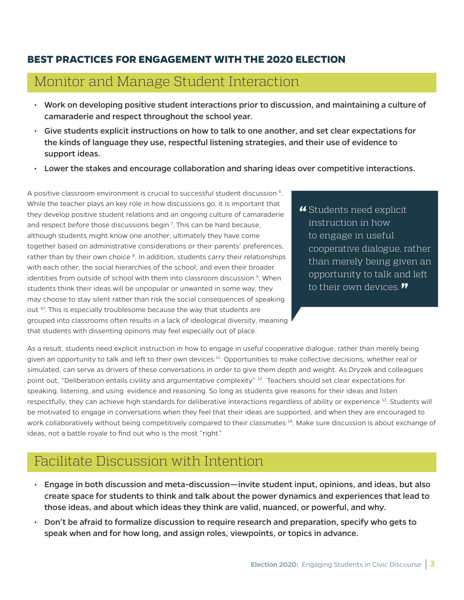### **BEST PRACTICES FOR ENGAGEMENT WITH THE 2020 ELECTION**

## Monitor and Manage Student Interaction

- Work on developing positive student interactions prior to discussion, and maintaining a culture of camaraderie and respect throughout the school year.
- Give students explicit instructions on how to talk to one another, and set clear expectations for the kinds of language they use, respectful listening strategies, and their use of evidence to support ideas.
- Lower the stakes and encourage collaboration and sharing ideas over competitive interactions.

A positive classroom environment is crucial to successful student discussion 6. While the teacher plays an key role in how discussions go, it is important that they develop positive student relations and an ongoing culture of camaraderie and respect *before* those discussions begin 7 . This can be hard because, although students might know one another, ultimately they have come together based on administrative considerations or their parents' preferences, rather than by their own choice  $8$ . In addition, students carry their relationships with each other, the social hierarchies of the school, and even their broader identities from outside of school with them into classroom discussion <sup>9</sup>. When students think their ideas will be unpopular or unwanted in some way, they may choose to stay silent rather than risk the social consequences of speaking out 10. This is especially troublesome because the way that students are grouped into classrooms often results in a lack of ideological diversity, meaning that students with dissenting opinons may feel especially out of place.

**"** Students need explicit instruction in how to engage in useful cooperative dialogue, rather than merely being given an opportunity to talk and left to their own devices.**"**

As a result, students need explicit instruction in how to engage in useful cooperative dialogue, rather than merely being given an opportunity to talk and left to their own devices <sup>11</sup>. Opportunities to make collective decisions, whether real or simulated, can serve as drivers of these conversations in order to give them depth and weight. As Dryzek and colleagues point out, "Deliberation entails civility and argumentative complexity" <sup>12</sup>. Teachers should set clear expectations for speaking, listening, and using evidence and reasoning. So long as students give reasons for their ideas and listen respectfully, they can achieve high standards for deliberative interactions regardless of ability or experience <sup>13</sup>. Students will be motivated to engage in conversations when they feel that their ideas are supported, and when they are encouraged to work collaboratively without being competitively compared to their classmates <sup>14</sup>. Make sure discussion is about exchange of ideas, not a battle royale to find out who is the most "right."

## Facilitate Discussion with Intention

- Engage in both discussion and meta-discussion—invite student input, opinions, and ideas, but also create space for students to think and talk about the power dynamics and experiences that lead to those ideas, and about which ideas they think are valid, nuanced, or powerful, and why.
- Don't be afraid to formalize discussion to require research and preparation, specify who gets to speak when and for how long, and assign roles, viewpoints, or topics in advance.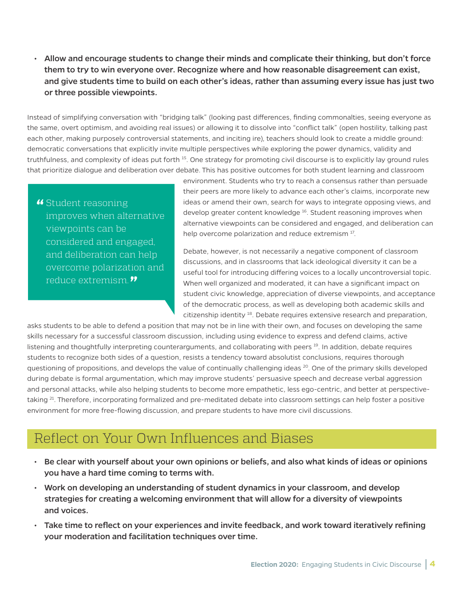• Allow and encourage students to change their minds and complicate their thinking, but don't force them to try to win everyone over. Recognize where and how reasonable disagreement can exist, and give students time to build on each other's ideas, rather than assuming every issue has just two or three possible viewpoints.

Instead of simplifying conversation with "bridging talk" (looking past differences, finding commonalties, seeing everyone as the same, overt optimism, and avoiding real issues) or allowing it to dissolve into "conflict talk" (open hostility, talking past each other, making purposely controversial statements, and inciting ire), teachers should look to create a middle ground: democratic conversations that explicitly invite multiple perspectives while exploring the power dynamics, validity and truthfulness, and complexity of ideas put forth <sup>15</sup>. One strategy for promoting civil discourse is to explicitly lay ground rules that prioritize dialogue and deliberation over debate. This has positive outcomes for both student learning and classroom

**"** Student reasoning improves when alternative viewpoints can be considered and engaged, and deliberation can help overcome polarization and reduce extremism.**"**

environment. Students who try to reach a consensus rather than persuade their peers are more likely to advance each other's claims, incorporate new ideas or amend their own, search for ways to integrate opposing views, and develop greater content knowledge<sup>16</sup>. Student reasoning improves when alternative viewpoints can be considered and engaged, and deliberation can help overcome polarization and reduce extremism <sup>17</sup>.

Debate, however, is not necessarily a negative component of classroom discussions, and in classrooms that lack ideological diversity it can be a useful tool for introducing differing voices to a locally uncontroversial topic. When well organized and moderated, it can have a significant impact on student civic knowledge, appreciation of diverse viewpoints, and acceptance of the democratic process, as well as developing both academic skills and citizenship identity 18. Debate requires extensive research and preparation,

asks students to be able to defend a position that may not be in line with their own, and focuses on developing the same skills necessary for a successful classroom discussion, including using evidence to express and defend claims, active listening and thoughtfully interpreting counterarguments, and collaborating with peers <sup>19</sup>. In addition, debate requires students to recognize both sides of a question, resists a tendency toward absolutist conclusions, requires thorough questioning of propositions, and develops the value of continually challenging ideas  $^{20}$ . One of the primary skills developed during debate is formal argumentation, which may improve students' persuasive speech and decrease verbal aggression and personal attacks, while also helping students to become more empathetic, less ego-centric, and better at perspectivetaking <sup>21</sup>. Therefore, incorporating formalized and pre-meditated debate into classroom settings can help foster a positive environment for more free-flowing discussion, and prepare students to have more civil discussions.

## Reflect on Your Own Influences and Biases

- Be clear with yourself about your own opinions or beliefs, and also what kinds of ideas or opinions you have a hard time coming to terms with.
- Work on developing an understanding of student dynamics in your classroom, and develop strategies for creating a welcoming environment that will allow for a diversity of viewpoints and voices.
- Take time to reflect on your experiences and invite feedback, and work toward iteratively refining your moderation and facilitation techniques over time.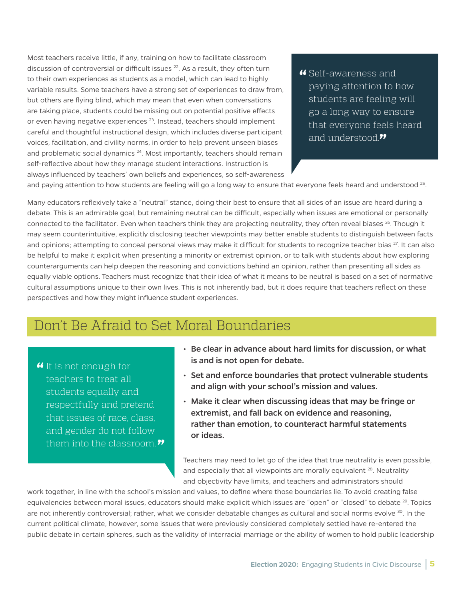Most teachers receive little, if any, training on how to facilitate classroom discussion of controversial or difficult issues <sup>22</sup>. As a result, they often turn to their own experiences as students as a model, which can lead to highly variable results. Some teachers have a strong set of experiences to draw from, but others are flying blind, which may mean that even when conversations are taking place, students could be missing out on potential positive effects or even having negative experiences<sup>23</sup>. Instead, teachers should implement careful and thoughtful instructional design, which includes diverse participant voices, facilitation, and civility norms, in order to help prevent unseen biases and problematic social dynamics  $24$ . Most importantly, teachers should remain self-reflective about how they manage student interactions. Instruction is always influenced by teachers' own beliefs and experiences, so self-awareness

**"** Self-awareness and paying attention to how students are feeling will go a long way to ensure that everyone feels heard and understood.**"**

and paying attention to how students are feeling will go a long way to ensure that everyone feels heard and understood  $25$ .

Many educators reflexively take a "neutral" stance, doing their best to ensure that all sides of an issue are heard during a debate. This is an admirable goal, but remaining neutral can be difficult, especially when issues are emotional or personally connected to the facilitator. Even when teachers think they are projecting neutrality, they often reveal biases <sup>26</sup>. Though it may seem counterintuitive, explicitly disclosing teacher viewpoints may better enable students to distinguish between facts and opinions; attempting to conceal personal views may make it difficult for students to recognize teacher bias <sup>27</sup>. It can also be helpful to make it explicit when presenting a minority or extremist opinion, or to talk with students about how exploring counterarguments can help deepen the reasoning and convictions behind an opinion, rather than presenting all sides as equally viable options. Teachers must recognize that their idea of what it means to be neutral is based on a set of normative cultural assumptions unique to their own lives. This is not inherently bad, but it does require that teachers reflect on these perspectives and how they might influence student experiences.

## Don't Be Afraid to Set Moral Boundaries

**"**It is not enough for teachers to treat all students equally and respectfully and pretend that issues of race, class, and gender do not follow them into the classroom.**"**

- Be clear in advance about hard limits for discussion, or what is and is not open for debate.
- Set and enforce boundaries that protect vulnerable students and align with your school's mission and values.
- Make it clear when discussing ideas that may be fringe or extremist, and fall back on evidence and reasoning, rather than emotion, to counteract harmful statements or ideas.

Teachers may need to let go of the idea that true neutrality is even possible, and especially that all viewpoints are morally equivalent <sup>28</sup>. Neutrality and objectivity have limits, and teachers and administrators should

work together, in line with the school's mission and values, to define where those boundaries lie. To avoid creating false equivalencies between moral issues, educators should make explicit which issues are "open" or "closed" to debate <sup>29</sup>. Topics are not inherently controversial; rather, what we consider debatable changes as cultural and social norms evolve <sup>30</sup>. In the current political climate, however, some issues that were previously considered completely settled have re-entered the public debate in certain spheres, such as the validity of interracial marriage or the ability of women to hold public leadership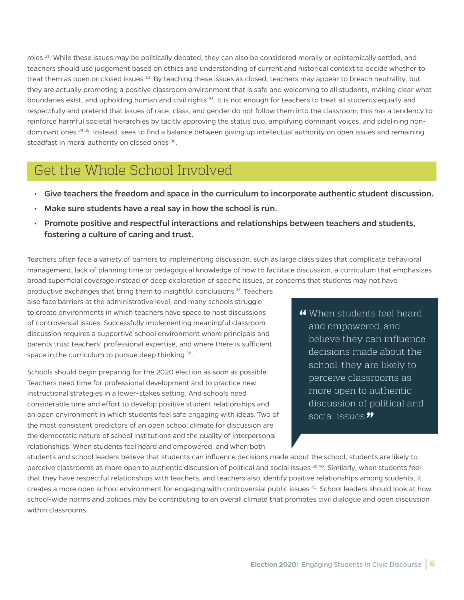roles <sup>31</sup>. While these issues may be politically debated, they can also be considered morally or epistemically settled, and teachers should use judgement based on ethics and understanding of current and historical context to decide whether to treat them as open or closed issues <sup>32</sup>. By teaching these issues as closed, teachers may appear to breach neutrality, but they are actually promoting a positive classroom environment that is safe and welcoming to all students, making clear what boundaries exist, and upholding human and civil rights 33. It is not enough for teachers to treat all students equally and respectfully and pretend that issues of race, class, and gender do not follow them into the classroom; this has a tendency to reinforce harmful societal hierarchies by tacitly approving the status quo, amplifying dominant voices, and sidelining nondominant ones <sup>34 35</sup>. Instead, seek to find a balance between giving up intellectual authority on open issues and remaining steadfast in moral authority on closed ones <sup>36</sup>.

## Get the Whole School Involved

- Give teachers the freedom and space in the curriculum to incorporate authentic student discussion.
- Make sure students have a real say in how the school is run.
- Promote positive and respectful interactions and relationships between teachers and students, fostering a culture of caring and trust.

Teachers often face a variety of barriers to implementing discussion, such as large class sizes that complicate behavioral management, lack of planning time or pedagogical knowledge of how to facilitate discussion, a curriculum that emphasizes broad superficial coverage instead of deep exploration of specific issues, or concerns that students may not have

productive exchanges that bring them to insightful conclusions <sup>37</sup>. Teachers also face barriers at the administrative level, and many schools struggle to create environments in which teachers have space to host discussions of controversial issues. Successfully implementing meaningful classroom discussion requires a supportive school environment where principals and parents trust teachers' professional expertise, and where there is sufficient space in the curriculum to pursue deep thinking  $38$ .

Schools should begin preparing for the 2020 election as soon as possible. Teachers need time for professional development and to practice new instructional strategies in a lower-stakes setting. And schools need considerable time and effort to develop positive student relationships and an open environment in which students feel safe engaging with ideas. Two of the most consistent predictors of an open school climate for discussion are the democratic nature of school institutions and the quality of interpersonal relationships. When students feel heard and empowered, and when both

**"** When students feel heard and empowered, and believe they can influence decisions made about the school, they are likely to perceive classrooms as more open to authentic discussion of political and social issues.**"**

students and school leaders believe that students can influence decisions made about the school, students are likely to perceive classrooms as more open to authentic discussion of political and social issues <sup>39 40</sup>. Similarly, when students feel that they have respectful relationships with teachers, and teachers also identify positive relationships among students, it creates a more open school environment for engaging with controversial public issues <sup>41</sup>. School leaders should look at how school-wide norms and policies may be contributing to an overall climate that promotes civil dialogue and open discussion within classrooms.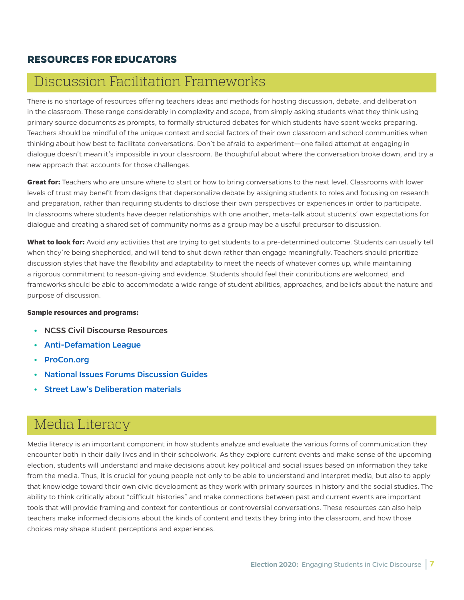#### **RESOURCES FOR EDUCATORS**

## Discussion Facilitation Frameworks

There is no shortage of resources offering teachers ideas and methods for hosting discussion, debate, and deliberation in the classroom. These range considerably in complexity and scope, from simply asking students what they think using primary source documents as prompts, to formally structured debates for which students have spent weeks preparing. Teachers should be mindful of the unique context and social factors of their own classroom and school communities when thinking about how best to facilitate conversations. Don't be afraid to experiment—one failed attempt at engaging in dialogue doesn't mean it's impossible in your classroom. Be thoughtful about where the conversation broke down, and try a new approach that accounts for those challenges.

**Great for:** Teachers who are unsure where to start or how to bring conversations to the next level. Classrooms with lower levels of trust may benefit from designs that depersonalize debate by assigning students to roles and focusing on research and preparation, rather than requiring students to disclose their own perspectives or experiences in order to participate. In classrooms where students have deeper relationships with one another, meta-talk about students' own expectations for dialogue and creating a shared set of community norms as a group may be a useful precursor to discussion.

**What to look for:** Avoid any activities that are trying to get students to a pre-determined outcome. Students can usually tell when they're being shepherded, and will tend to shut down rather than engage meaningfully. Teachers should prioritize discussion styles that have the flexibility and adaptability to meet the needs of whatever comes up, while maintaining a rigorous commitment to reason-giving and evidence. Students should feel their contributions are welcomed, and frameworks should be able to accommodate a wide range of student abilities, approaches, and beliefs about the nature and purpose of discussion.

#### **Sample resources and programs:**

- **•** NCSS Civil Discourse Resources
- **•** [Anti-Defamation League](https://www.adl.org/)
- **•** [ProCon.org](https://www.procon.org/)
- **•** [National Issues Forums Discussion Guides](https://www.nifi.org/es/issue-guides/issue-guides)
- **•** [Street Law's Deliberation materials](https://store.streetlaw.org/deliberations/)

## Media Literacy

Media literacy is an important component in how students analyze and evaluate the various forms of communication they encounter both in their daily lives and in their schoolwork. As they explore current events and make sense of the upcoming election, students will understand and make decisions about key political and social issues based on information they take from the media. Thus, it is crucial for young people not only to be able to understand and interpret media, but also to apply that knowledge toward their own civic development as they work with primary sources in history and the social studies. The ability to think critically about "difficult histories" and make connections between past and current events are important tools that will provide framing and context for contentious or controversial conversations. These resources can also help teachers make informed decisions about the kinds of content and texts they bring into the classroom, and how those choices may shape student perceptions and experiences.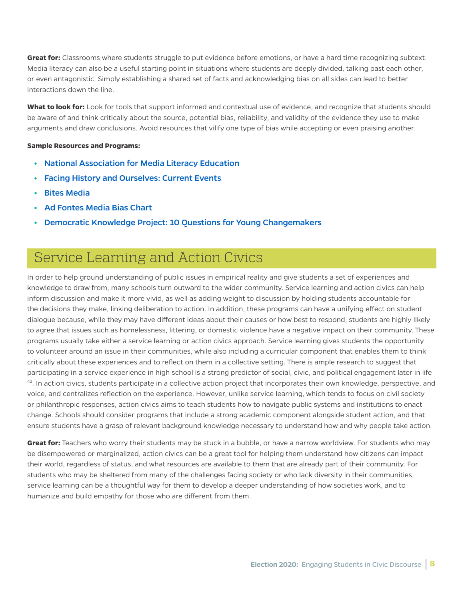**Great for:** Classrooms where students struggle to put evidence before emotions, or have a hard time recognizing subtext. Media literacy can also be a useful starting point in situations where students are deeply divided, talking past each other, or even antagonistic. Simply establishing a shared set of facts and acknowledging bias on all sides can lead to better interactions down the line.

**What to look for:** Look for tools that support informed and contextual use of evidence, and recognize that students should be aware of and think critically about the source, potential bias, reliability, and validity of the evidence they use to make arguments and draw conclusions. Avoid resources that vilify one type of bias while accepting or even praising another.

#### **Sample Resources and Programs:**

- **•** [National Association for Media Literacy Education](https://namle.net/)
- **•** [Facing History and Ourselves: Current Events](https://www.facinghistory.org/educator-resources/current-events/current-events-teaching-tools-and-strategies)
- **•** [Bites Media](https://bitesmedia.com/)
- **•** [Ad Fontes Media Bias Chart](https://www.adfontesmedia.com/)
- **•** [Democratic Knowledge Project: 10 Questions for Young Changemakers](https://yppactionframe.fas.harvard.edu/home)

## Service Learning and Action Civics

In order to help ground understanding of public issues in empirical reality and give students a set of experiences and knowledge to draw from, many schools turn outward to the wider community. Service learning and action civics can help inform discussion and make it more vivid, as well as adding weight to discussion by holding students accountable for the decisions they make, linking deliberation to action. In addition, these programs can have a unifying effect on student dialogue because, while they may have different ideas about their causes or how best to respond, students are highly likely to agree that issues such as homelessness, littering, or domestic violence have a negative impact on their community. These programs usually take either a service learning or action civics approach. Service learning gives students the opportunity to volunteer around an issue in their communities, while also including a curricular component that enables them to think critically about these experiences and to reflect on them in a collective setting. There is ample research to suggest that participating in a service experience in high school is a strong predictor of social, civic, and political engagement later in life 42. In action civics, students participate in a collective action project that incorporates their own knowledge, perspective, and voice, and centralizes reflection on the experience. However, unlike service learning, which tends to focus on civil society or philanthropic responses, action civics aims to teach students how to navigate public systems and institutions to enact change. Schools should consider programs that include a strong academic component alongside student action, and that ensure students have a grasp of relevant background knowledge necessary to understand how and why people take action.

**Great for:** Teachers who worry their students may be stuck in a bubble, or have a narrow worldview. For students who may be disempowered or marginalized, action civics can be a great tool for helping them understand how citizens can impact their world, regardless of status, and what resources are available to them that are already part of their community. For students who may be sheltered from many of the challenges facing society or who lack diversity in their communities, service learning can be a thoughtful way for them to develop a deeper understanding of how societies work, and to humanize and build empathy for those who are different from them.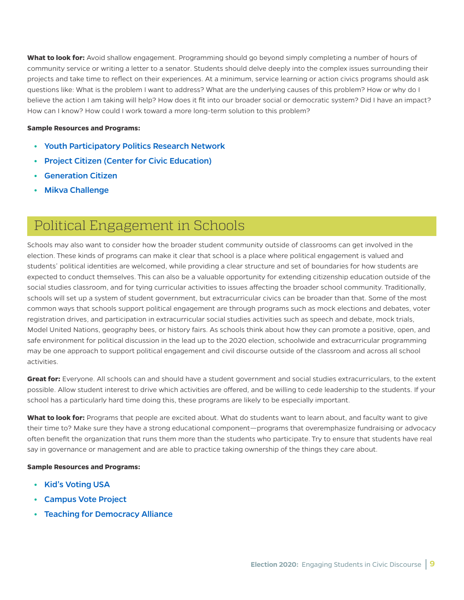What to look for: Avoid shallow engagement. Programming should go beyond simply completing a number of hours of community service or writing a letter to a senator. Students should delve deeply into the complex issues surrounding their projects and take time to reflect on their experiences. At a minimum, service learning or action civics programs should ask questions like: What is the problem I want to address? What are the underlying causes of this problem? How or why do I believe the action I am taking will help? How does it fit into our broader social or democratic system? Did I have an impact? How can I know? How could I work toward a more long-term solution to this problem?

#### **Sample Resources and Programs:**

- **•** [Youth Participatory Politics Research Network](https://yppactionframe.fas.harvard.edu/)
- **•** [Project Citizen \(Center for Civic Education\)](https://www.civiced.org/programs/project-citizen)
- **•** [Generation Citizen](https://generationcitizen.org/)
- **•** [Mikva Challenge](https://mikvachallenge.org/)

## Political Engagement in Schools

Schools may also want to consider how the broader student community outside of classrooms can get involved in the election. These kinds of programs can make it clear that school is a place where political engagement is valued and students' political identities are welcomed, while providing a clear structure and set of boundaries for how students are expected to conduct themselves. This can also be a valuable opportunity for extending citizenship education outside of the social studies classroom, and for tying curricular activities to issues affecting the broader school community. Traditionally, schools will set up a system of student government, but extracurricular civics can be broader than that. Some of the most common ways that schools support political engagement are through programs such as mock elections and debates, voter registration drives, and participation in extracurricular social studies activities such as speech and debate, mock trials, Model United Nations, geography bees, or history fairs. As schools think about how they can promote a positive, open, and safe environment for political discussion in the lead up to the 2020 election, schoolwide and extracurricular programming may be one approach to support political engagement and civil discourse outside of the classroom and across all school activities.

**Great for:** Everyone. All schools can and should have a student government and social studies extracurriculars, to the extent possible. Allow student interest to drive which activities are offered, and be willing to cede leadership to the students. If your school has a particularly hard time doing this, these programs are likely to be especially important.

**What to look for:** Programs that people are excited about. What do students want to learn about, and faculty want to give their time to? Make sure they have a strong educational component—programs that overemphasize fundraising or advocacy often benefit the organization that runs them more than the students who participate. Try to ensure that students have real say in governance or management and are able to practice taking ownership of the things they care about.

#### **Sample Resources and Programs:**

- **•** [Kid's Voting USA](https://www.kidsvotingusa.org/)
- **•** [Campus Vote Project](https://www.campusvoteproject.org/)
- **•** [Teaching for Democracy Alliance](http://www.teachingfordemocracy.org/)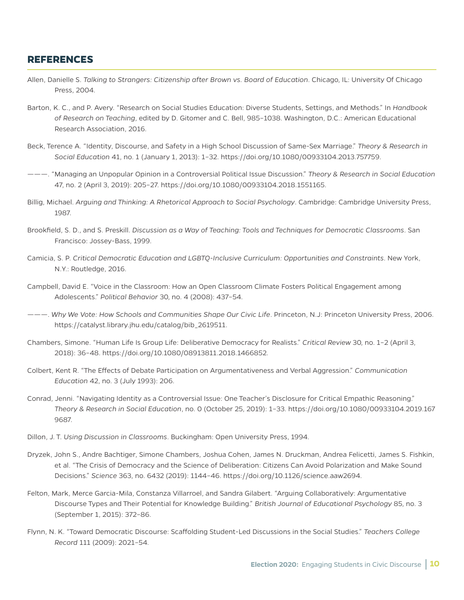#### **REFERENCES**

- Allen, Danielle S. *Talking to Strangers: Citizenship after Brown vs. Board of Education*. Chicago, IL: University Of Chicago Press, 2004.
- Barton, K. C., and P. Avery. "Research on Social Studies Education: Diverse Students, Settings, and Methods." In *Handbook of Research on Teaching*, edited by D. Gitomer and C. Bell, 985–1038. Washington, D.C.: American Educational Research Association, 2016.
- Beck, Terence A. "Identity, Discourse, and Safety in a High School Discussion of Same-Sex Marriage." *Theory & Research in Social Education* 41, no. 1 (January 1, 2013): 1–32. https://doi.org/10.1080/00933104.2013.757759.
- ———. "Managing an Unpopular Opinion in a Controversial Political Issue Discussion." *Theory & Research in Social Education* 47, no. 2 (April 3, 2019): 205–27. https://doi.org/10.1080/00933104.2018.1551165.
- Billig, Michael. *Arguing and Thinking: A Rhetorical Approach to Social Psychology*. Cambridge: Cambridge University Press, 1987.
- Brookfield, S. D., and S. Preskill. *Discussion as a Way of Teaching: Tools and Techniques for Democratic Classrooms*. San Francisco: Jossey-Bass, 1999.
- Camicia, S. P. *Critical Democratic Education and LGBTQ-Inclusive Curriculum: Opportunities and Constraints*. New York, N.Y.: Routledge, 2016.
- Campbell, David E. "Voice in the Classroom: How an Open Classroom Climate Fosters Political Engagement among Adolescents." *Political Behavior* 30, no. 4 (2008): 437–54.
- ———. *Why We Vote: How Schools and Communities Shape Our Civic Life*. Princeton, N.J: Princeton University Press, 2006. https://catalyst.library.jhu.edu/catalog/bib\_2619511.
- Chambers, Simone. "Human Life Is Group Life: Deliberative Democracy for Realists." *Critical Review* 30, no. 1–2 (April 3, 2018): 36–48. https://doi.org/10.1080/08913811.2018.1466852.
- Colbert, Kent R. "The Effects of Debate Participation on Argumentativeness and Verbal Aggression." *Communication Education* 42, no. 3 (July 1993): 206.
- Conrad, Jenni. "Navigating Identity as a Controversial Issue: One Teacher's Disclosure for Critical Empathic Reasoning." *Theory & Research in Social Education*, no. 0 (October 25, 2019): 1–33. https://doi.org/10.1080/00933104.2019.167 9687.
- Dillon, J. T. *Using Discussion in Classrooms*. Buckingham: Open University Press, 1994.
- Dryzek, John S., Andre Bachtiger, Simone Chambers, Joshua Cohen, James N. Druckman, Andrea Felicetti, James S. Fishkin, et al. "The Crisis of Democracy and the Science of Deliberation: Citizens Can Avoid Polarization and Make Sound Decisions." *Science* 363, no. 6432 (2019): 1144–46. https://doi.org/10.1126/science.aaw2694.
- Felton, Mark, Merce Garcia-Mila, Constanza Villarroel, and Sandra Gilabert. "Arguing Collaboratively: Argumentative Discourse Types and Their Potential for Knowledge Building." *British Journal of Educational Psychology* 85, no. 3 (September 1, 2015): 372–86.
- Flynn, N. K. "Toward Democratic Discourse: Scaffolding Student-Led Discussions in the Social Studies." *Teachers College Record* 111 (2009): 2021–54.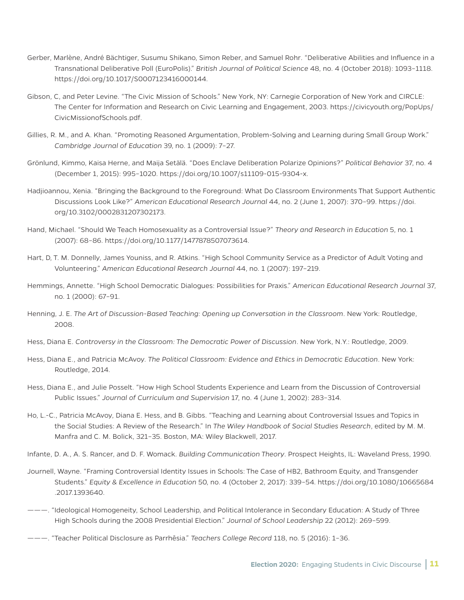- Gerber, Marlène, André Bächtiger, Susumu Shikano, Simon Reber, and Samuel Rohr. "Deliberative Abilities and Influence in a Transnational Deliberative Poll (EuroPolis)." *British Journal of Political Science* 48, no. 4 (October 2018): 1093–1118. https://doi.org/10.1017/S0007123416000144.
- Gibson, C, and Peter Levine. "The Civic Mission of Schools." New York, NY: Carnegie Corporation of New York and CIRCLE: The Center for Information and Research on Civic Learning and Engagement, 2003. https://civicyouth.org/PopUps/ CivicMissionofSchools.pdf.
- Gillies, R. M., and A. Khan. "Promoting Reasoned Argumentation, Problem-Solving and Learning during Small Group Work." *Cambridge Journal of Education* 39, no. 1 (2009): 7–27.
- Grönlund, Kimmo, Kaisa Herne, and Maija Setälä. "Does Enclave Deliberation Polarize Opinions?" *Political Behavior* 37, no. 4 (December 1, 2015): 995–1020. https://doi.org/10.1007/s11109-015-9304-x.
- Hadjioannou, Xenia. "Bringing the Background to the Foreground: What Do Classroom Environments That Support Authentic Discussions Look Like?" *American Educational Research Journal* 44, no. 2 (June 1, 2007): 370–99. https://doi. org/10.3102/0002831207302173.
- Hand, Michael. "Should We Teach Homosexuality as a Controversial Issue?" *Theory and Research in Education* 5, no. 1 (2007): 68–86. https://doi.org/10.1177/1477878507073614.
- Hart, D, T. M. Donnelly, James Youniss, and R. Atkins. "High School Community Service as a Predictor of Adult Voting and Volunteering." *American Educational Research Journal* 44, no. 1 (2007): 197–219.
- Hemmings, Annette. "High School Democratic Dialogues: Possibilities for Praxis." *American Educational Research Journal* 37, no. 1 (2000): 67–91.
- Henning, J. E. *The Art of Discussion-Based Teaching: Opening up Conversation in the Classroom*. New York: Routledge, 2008.
- Hess, Diana E. *Controversy in the Classroom: The Democratic Power of Discussion*. New York, N.Y.: Routledge, 2009.
- Hess, Diana E., and Patricia McAvoy. *The Political Classroom: Evidence and Ethics in Democratic Education*. New York: Routledge, 2014.
- Hess, Diana E., and Julie Posselt. "How High School Students Experience and Learn from the Discussion of Controversial Public Issues." *Journal of Curriculum and Supervision* 17, no. 4 (June 1, 2002): 283–314.
- Ho, L.-C., Patricia McAvoy, Diana E. Hess, and B. Gibbs. "Teaching and Learning about Controversial Issues and Topics in the Social Studies: A Review of the Research." In *The Wiley Handbook of Social Studies Research*, edited by M. M. Manfra and C. M. Bolick, 321–35. Boston, MA: Wiley Blackwell, 2017.
- Infante, D. A., A. S. Rancer, and D. F. Womack. *Building Communication Theory*. Prospect Heights, IL: Waveland Press, 1990.
- Journell, Wayne. "Framing Controversial Identity Issues in Schools: The Case of HB2, Bathroom Equity, and Transgender Students." *Equity & Excellence in Education* 50, no. 4 (October 2, 2017): 339–54. https://doi.org/10.1080/10665684 .2017.1393640.
- ———. "Ideological Homogeneity, School Leadership, and Political Intolerance in Secondary Education: A Study of Three High Schools during the 2008 Presidential Election." *Journal of School Leadership* 22 (2012): 269–599.
- ———. "Teacher Political Disclosure as Parrhēsia." *Teachers College Record* 118, no. 5 (2016): 1–36.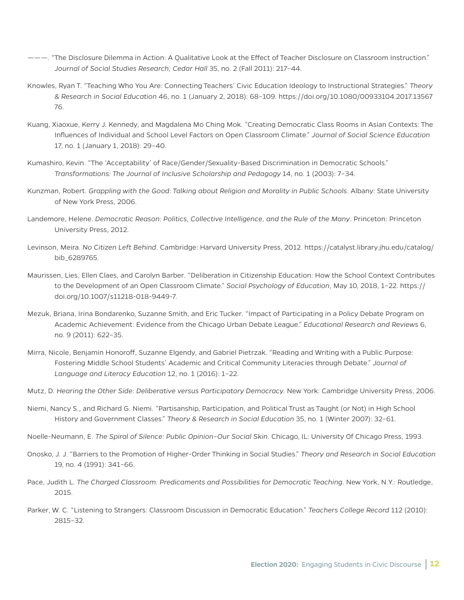- ———. "The Disclosure Dilemma in Action: A Qualitative Look at the Effect of Teacher Disclosure on Classroom Instruction." *Journal of Social Studies Research; Cedar Hall* 35, no. 2 (Fall 2011): 217–44.
- Knowles, Ryan T. "Teaching Who You Are: Connecting Teachers' Civic Education Ideology to Instructional Strategies." *Theory & Research in Social Education* 46, no. 1 (January 2, 2018): 68–109. https://doi.org/10.1080/00933104.2017.13567 76.
- Kuang, Xiaoxue, Kerry J. Kennedy, and Magdalena Mo Ching Mok. "Creating Democratic Class Rooms in Asian Contexts: The Influences of Individual and School Level Factors on Open Classroom Climate." *Journal of Social Science Education* 17, no. 1 (January 1, 2018): 29–40.
- Kumashiro, Kevin. "The 'Acceptability' of Race/Gender/Sexuality-Based Discrimination in Democratic Schools." *Transformations: The Journal of Inclusive Scholarship and Pedagogy* 14, no. 1 (2003): 7–34.
- Kunzman, Robert. *Grappling with the Good: Talking about Religion and Morality in Public Schools*. Albany: State University of New York Press, 2006.
- Landemore, Helene. *Democratic Reason: Politics, Collective Intelligence, and the Rule of the Many*. Princeton: Princeton University Press, 2012.
- Levinson, Meira. *No Citizen Left Behind*. Cambridge: Harvard University Press, 2012. https://catalyst.library.jhu.edu/catalog/ bib\_6289765.
- Maurissen, Lies, Ellen Claes, and Carolyn Barber. "Deliberation in Citizenship Education: How the School Context Contributes to the Development of an Open Classroom Climate." *Social Psychology of Education*, May 10, 2018, 1–22. https:// doi.org/10.1007/s11218-018-9449-7.
- Mezuk, Briana, Irina Bondarenko, Suzanne Smith, and Eric Tucker. "Impact of Participating in a Policy Debate Program on Academic Achievement: Evidence from the Chicago Urban Debate League." *Educational Research and Reviews* 6, no. 9 (2011): 622–35.
- Mirra, Nicole, Benjamin Honoroff, Suzanne Elgendy, and Gabriel Pietrzak. "Reading and Writing with a Public Purpose: Fostering Middle School Students' Academic and Critical Community Literacies through Debate." *Journal of Language and Literacy Education* 12, no. 1 (2016): 1–22.
- Mutz, D. *Hearing the Other Side: Deliberative versus Participatory Democracy.* New York: Cambridge University Press, 2006.
- Niemi, Nancy S., and Richard G. Niemi. "Partisanship, Participation, and Political Trust as Taught (or Not) in High School History and Government Classes." *Theory & Research in Social Education* 35, no. 1 (Winter 2007): 32–61.
- Noelle-Neumann, E. *The Spiral of Silence: Public Opinion–Our Social Skin*. Chicago, IL: University Of Chicago Press, 1993.
- Onosko, J. J. "Barriers to the Promotion of Higher-Order Thinking in Social Studies." *Theory and Research in Social Education* 19, no. 4 (1991): 341–66.
- Pace, Judith L. The Charged Classroom: Predicaments and Possibilities for Democratic Teaching. New York, N.Y.: Routledge, 2015.
- Parker, W. C. "Listening to Strangers: Classroom Discussion in Democratic Education." *Teachers College Record* 112 (2010): 2815–32.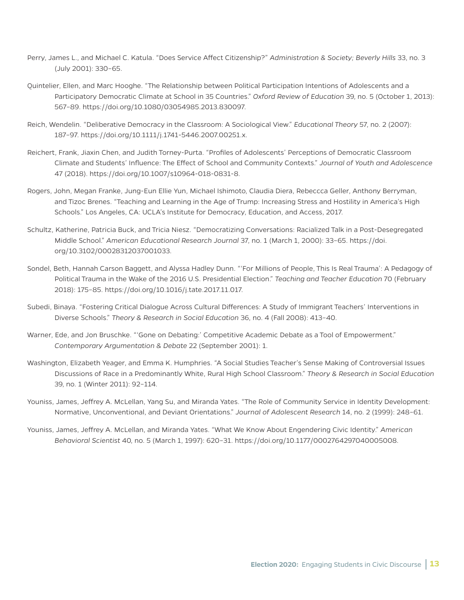- Perry, James L., and Michael C. Katula. "Does Service Affect Citizenship?" *Administration & Society; Beverly Hills* 33, no. 3 (July 2001): 330–65.
- Quintelier, Ellen, and Marc Hooghe. "The Relationship between Political Participation Intentions of Adolescents and a Participatory Democratic Climate at School in 35 Countries." *Oxford Review of Education* 39, no. 5 (October 1, 2013): 567–89. https://doi.org/10.1080/03054985.2013.830097.
- Reich, Wendelin. "Deliberative Democracy in the Classroom: A Sociological View." *Educational Theory* 57, no. 2 (2007): 187–97. https://doi.org/10.1111/j.1741-5446.2007.00251.x.
- Reichert, Frank, Jiaxin Chen, and Judith Torney-Purta. "Profiles of Adolescents' Perceptions of Democratic Classroom Climate and Students' Influence: The Effect of School and Community Contexts." *Journal of Youth and Adolescence* 47 (2018). https://doi.org/10.1007/s10964-018-0831-8.
- Rogers, John, Megan Franke, Jung-Eun Ellie Yun, Michael Ishimoto, Claudia Diera, Rebeccca Geller, Anthony Berryman, and Tizoc Brenes. "Teaching and Learning in the Age of Trump: Increasing Stress and Hostility in America's High Schools." Los Angeles, CA: UCLA's Institute for Democracy, Education, and Access, 2017.
- Schultz, Katherine, Patricia Buck, and Tricia Niesz. "Democratizing Conversations: Racialized Talk in a Post-Desegregated Middle School." *American Educational Research Journal* 37, no. 1 (March 1, 2000): 33–65. https://doi. org/10.3102/00028312037001033.
- Sondel, Beth, Hannah Carson Baggett, and Alyssa Hadley Dunn. "'For Millions of People, This Is Real Trauma': A Pedagogy of Political Trauma in the Wake of the 2016 U.S. Presidential Election." *Teaching and Teacher Education* 70 (February 2018): 175–85. https://doi.org/10.1016/j.tate.2017.11.017.
- Subedi, Binaya. "Fostering Critical Dialogue Across Cultural Differences: A Study of Immigrant Teachers' Interventions in Diverse Schools." *Theory & Research in Social Education* 36, no. 4 (Fall 2008): 413–40.
- Warner, Ede, and Jon Bruschke. "'Gone on Debating:' Competitive Academic Debate as a Tool of Empowerment." *Contemporary Argumentation & Debate* 22 (September 2001): 1.
- Washington, Elizabeth Yeager, and Emma K. Humphries. "A Social Studies Teacher's Sense Making of Controversial Issues Discussions of Race in a Predominantly White, Rural High School Classroom." *Theory & Research in Social Education* 39, no. 1 (Winter 2011): 92–114.
- Youniss, James, Jeffrey A. McLellan, Yang Su, and Miranda Yates. "The Role of Community Service in Identity Development: Normative, Unconventional, and Deviant Orientations." *Journal of Adolescent Research* 14, no. 2 (1999): 248–61.
- Youniss, James, Jeffrey A. McLellan, and Miranda Yates. "What We Know About Engendering Civic Identity." *American Behavioral Scientist* 40, no. 5 (March 1, 1997): 620–31. https://doi.org/10.1177/0002764297040005008.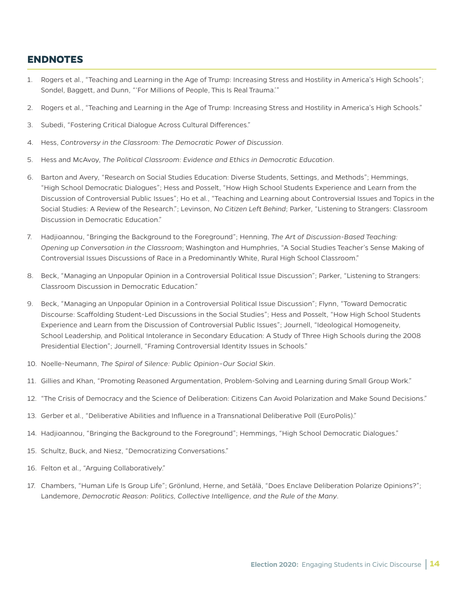#### **ENDNOTES**

- 1. Rogers et al., "Teaching and Learning in the Age of Trump: Increasing Stress and Hostility in America's High Schools"; Sondel, Baggett, and Dunn, "'For Millions of People, This Is Real Trauma.'"
- 2. Rogers et al., "Teaching and Learning in the Age of Trump: Increasing Stress and Hostility in America's High Schools."
- 3. Subedi, "Fostering Critical Dialogue Across Cultural Differences."
- 4. Hess, *Controversy in the Classroom: The Democratic Power of Discussion*.
- 5. Hess and McAvoy, *The Political Classroom: Evidence and Ethics in Democratic Education*.
- 6. Barton and Avery, "Research on Social Studies Education: Diverse Students, Settings, and Methods"; Hemmings, "High School Democratic Dialogues"; Hess and Posselt, "How High School Students Experience and Learn from the Discussion of Controversial Public Issues"; Ho et al., "Teaching and Learning about Controversial Issues and Topics in the Social Studies: A Review of the Research."; Levinson, *No Citizen Left Behind*; Parker, "Listening to Strangers: Classroom Discussion in Democratic Education."
- 7. Hadjioannou, "Bringing the Background to the Foreground"; Henning, *The Art of Discussion-Based Teaching: Opening up Conversation in the Classroom*; Washington and Humphries, "A Social Studies Teacher's Sense Making of Controversial Issues Discussions of Race in a Predominantly White, Rural High School Classroom."
- 8. Beck, "Managing an Unpopular Opinion in a Controversial Political Issue Discussion"; Parker, "Listening to Strangers: Classroom Discussion in Democratic Education."
- 9. Beck, "Managing an Unpopular Opinion in a Controversial Political Issue Discussion"; Flynn, "Toward Democratic Discourse: Scaffolding Student-Led Discussions in the Social Studies"; Hess and Posselt, "How High School Students Experience and Learn from the Discussion of Controversial Public Issues"; Journell, "Ideological Homogeneity, School Leadership, and Political Intolerance in Secondary Education: A Study of Three High Schools during the 2008 Presidential Election"; Journell, "Framing Controversial Identity Issues in Schools."
- 10. Noelle-Neumann, *The Spiral of Silence: Public Opinion–Our Social Skin*.
- 11. Gillies and Khan, "Promoting Reasoned Argumentation, Problem-Solving and Learning during Small Group Work."
- 12. "The Crisis of Democracy and the Science of Deliberation: Citizens Can Avoid Polarization and Make Sound Decisions."
- 13. Gerber et al., "Deliberative Abilities and Influence in a Transnational Deliberative Poll (EuroPolis)."
- 14. Hadjioannou, "Bringing the Background to the Foreground"; Hemmings, "High School Democratic Dialogues."
- 15. Schultz, Buck, and Niesz, "Democratizing Conversations."
- 16. Felton et al., "Arguing Collaboratively."
- 17. Chambers, "Human Life Is Group Life"; Grönlund, Herne, and Setälä, "Does Enclave Deliberation Polarize Opinions?"; Landemore, *Democratic Reason: Politics, Collective Intelligence, and the Rule of the Many*.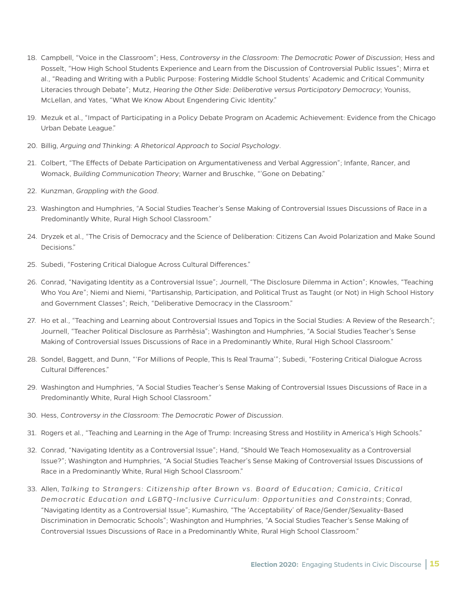- 18. Campbell, "Voice in the Classroom"; Hess, *Controversy in the Classroom: The Democratic Power of Discussion*; Hess and Posselt, "How High School Students Experience and Learn from the Discussion of Controversial Public Issues"; Mirra et al., "Reading and Writing with a Public Purpose: Fostering Middle School Students' Academic and Critical Community Literacies through Debate"; Mutz, *Hearing the Other Side: Deliberative versus Participatory Democracy*; Youniss, McLellan, and Yates, "What We Know About Engendering Civic Identity."
- 19. Mezuk et al., "Impact of Participating in a Policy Debate Program on Academic Achievement: Evidence from the Chicago Urban Debate League."
- 20. Billig, *Arguing and Thinking: A Rhetorical Approach to Social Psychology*.
- 21. Colbert, "The Effects of Debate Participation on Argumentativeness and Verbal Aggression"; Infante, Rancer, and Womack, *Building Communication Theor*y; Warner and Bruschke, "'Gone on Debating."
- 22. Kunzman, *Grappling with the Good*.
- 23. Washington and Humphries, "A Social Studies Teacher's Sense Making of Controversial Issues Discussions of Race in a Predominantly White, Rural High School Classroom."
- 24. Dryzek et al., "The Crisis of Democracy and the Science of Deliberation: Citizens Can Avoid Polarization and Make Sound Decisions."
- 25. Subedi, "Fostering Critical Dialogue Across Cultural Differences."
- 26. Conrad, "Navigating Identity as a Controversial Issue"; Journell, "The Disclosure Dilemma in Action"; Knowles, "Teaching Who You Are"; Niemi and Niemi, "Partisanship, Participation, and Political Trust as Taught (or Not) in High School History and Government Classes"; Reich, "Deliberative Democracy in the Classroom."
- 27. Ho et al., "Teaching and Learning about Controversial Issues and Topics in the Social Studies: A Review of the Research."; Journell, "Teacher Political Disclosure as Parrhēsia"; Washington and Humphries, "A Social Studies Teacher's Sense Making of Controversial Issues Discussions of Race in a Predominantly White, Rural High School Classroom."
- 28. Sondel, Baggett, and Dunn, "'For Millions of People, This Is Real Trauma'"; Subedi, "Fostering Critical Dialogue Across Cultural Differences."
- 29. Washington and Humphries, "A Social Studies Teacher's Sense Making of Controversial Issues Discussions of Race in a Predominantly White, Rural High School Classroom."
- 30. Hess, *Controversy in the Classroom: The Democratic Power of Discussion*.
- 31. Rogers et al., "Teaching and Learning in the Age of Trump: Increasing Stress and Hostility in America's High Schools."
- 32. Conrad, "Navigating Identity as a Controversial Issue"; Hand, "Should We Teach Homosexuality as a Controversial Issue?"; Washington and Humphries, "A Social Studies Teacher's Sense Making of Controversial Issues Discussions of Race in a Predominantly White, Rural High School Classroom."
- 33. Allen, *Talking to Strangers: Citizenship after Brown vs. Board of Education; Camicia, Critical Democratic Education and LGBTQ-Inclusive Curriculum: Opportunities and Constraints*; Conrad, "Navigating Identity as a Controversial Issue"; Kumashiro, "The 'Acceptability' of Race/Gender/Sexuality-Based Discrimination in Democratic Schools"; Washington and Humphries, "A Social Studies Teacher's Sense Making of Controversial Issues Discussions of Race in a Predominantly White, Rural High School Classroom."